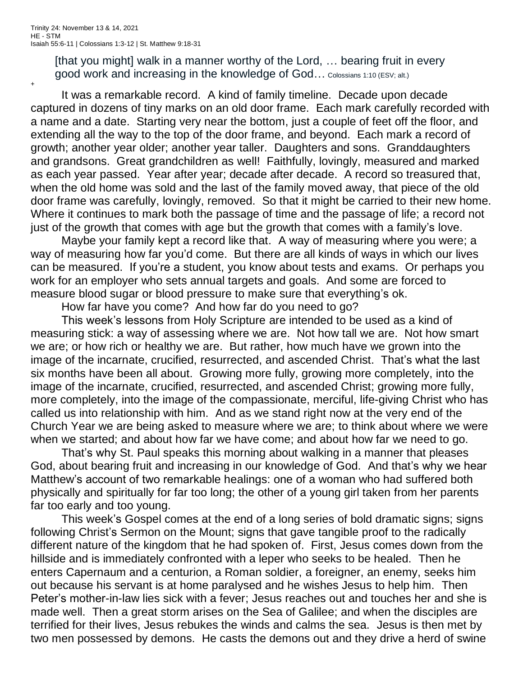[that you might] walk in a manner worthy of the Lord, ... bearing fruit in every good work and increasing in the knowledge of God… Colossians 1:10 (ESV; alt.)

+

It was a remarkable record. A kind of family timeline. Decade upon decade captured in dozens of tiny marks on an old door frame. Each mark carefully recorded with a name and a date. Starting very near the bottom, just a couple of feet off the floor, and extending all the way to the top of the door frame, and beyond. Each mark a record of growth; another year older; another year taller. Daughters and sons. Granddaughters and grandsons. Great grandchildren as well! Faithfully, lovingly, measured and marked as each year passed. Year after year; decade after decade. A record so treasured that, when the old home was sold and the last of the family moved away, that piece of the old door frame was carefully, lovingly, removed. So that it might be carried to their new home. Where it continues to mark both the passage of time and the passage of life; a record not just of the growth that comes with age but the growth that comes with a family's love.

Maybe your family kept a record like that. A way of measuring where you were; a way of measuring how far you'd come. But there are all kinds of ways in which our lives can be measured. If you're a student, you know about tests and exams. Or perhaps you work for an employer who sets annual targets and goals. And some are forced to measure blood sugar or blood pressure to make sure that everything's ok.

How far have you come? And how far do you need to go?

This week's lessons from Holy Scripture are intended to be used as a kind of measuring stick: a way of assessing where we are. Not how tall we are. Not how smart we are; or how rich or healthy we are. But rather, how much have we grown into the image of the incarnate, crucified, resurrected, and ascended Christ. That's what the last six months have been all about. Growing more fully, growing more completely, into the image of the incarnate, crucified, resurrected, and ascended Christ; growing more fully, more completely, into the image of the compassionate, merciful, life-giving Christ who has called us into relationship with him. And as we stand right now at the very end of the Church Year we are being asked to measure where we are; to think about where we were when we started; and about how far we have come; and about how far we need to go.

That's why St. Paul speaks this morning about walking in a manner that pleases God, about bearing fruit and increasing in our knowledge of God. And that's why we hear Matthew's account of two remarkable healings: one of a woman who had suffered both physically and spiritually for far too long; the other of a young girl taken from her parents far too early and too young.

This week's Gospel comes at the end of a long series of bold dramatic signs; signs following Christ's Sermon on the Mount; signs that gave tangible proof to the radically different nature of the kingdom that he had spoken of. First, Jesus comes down from the hillside and is immediately confronted with a leper who seeks to be healed. Then he enters Capernaum and a centurion, a Roman soldier, a foreigner, an enemy, seeks him out because his servant is at home paralysed and he wishes Jesus to help him. Then Peter's mother-in-law lies sick with a fever; Jesus reaches out and touches her and she is made well. Then a great storm arises on the Sea of Galilee; and when the disciples are terrified for their lives, Jesus rebukes the winds and calms the sea. Jesus is then met by two men possessed by demons. He casts the demons out and they drive a herd of swine